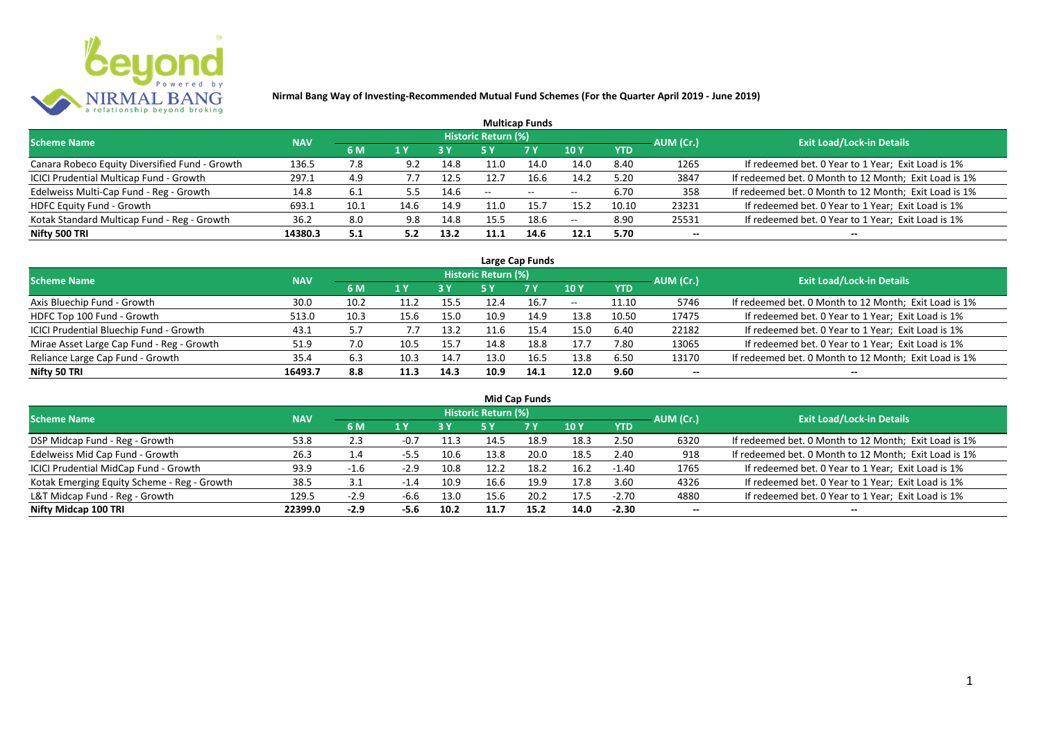

| <b>Multicap Funds</b>                          |            |      |      |      |                     |            |      |            |           |                                                       |  |  |  |  |
|------------------------------------------------|------------|------|------|------|---------------------|------------|------|------------|-----------|-------------------------------------------------------|--|--|--|--|
| <b>Scheme Name</b>                             | <b>NAV</b> |      |      |      | Historic Return (%) |            |      |            | AUM (Cr.) | Exit Load/Lock-in Details <sup>1</sup>                |  |  |  |  |
|                                                |            | 6 M  | 1 Y  |      |                     | <b>7 Y</b> | 10Y  | <b>YTD</b> |           |                                                       |  |  |  |  |
| Canara Robeco Equity Diversified Fund - Growth | 136.5      | 7.8  |      | 14.8 | 11.0                | 14.0       | 14.0 | 8.40       | 1265      | If redeemed bet. 0 Year to 1 Year; Exit Load is 1%    |  |  |  |  |
| ICICI Prudential Multicap Fund - Growth        | 297.1      | 4.9  |      | 12.5 | 12.7                | 16.6       | 14.2 | 5.20       | 3847      | If redeemed bet. 0 Month to 12 Month; Exit Load is 1% |  |  |  |  |
| Edelweiss Multi-Cap Fund - Reg - Growth        | 14.8       | 6.1  | 5.5  | 14.6 | $- -$               | $- -$      | --   | 6.70       | 358       | If redeemed bet. 0 Month to 12 Month; Exit Load is 1% |  |  |  |  |
| <b>HDFC Equity Fund - Growth</b>               | 693.1      | 10.1 | 14.6 | 14.9 | 11.0                | 15.7       | 15.2 | 10.10      | 23231     | If redeemed bet. 0 Year to 1 Year; Exit Load is 1%    |  |  |  |  |
| Kotak Standard Multicap Fund - Reg - Growth    | 36.2       | 8.0  | 9.8  | 14.8 | 15.5                | 18.6       | --   | 8.90       | 25531     | If redeemed bet. 0 Year to 1 Year; Exit Load is 1%    |  |  |  |  |
| Nifty 500 TRI                                  | 14380.3    | 5.1  | 5.2  | 13.2 | 11.1                | 14.6       | 12.1 | 5.70       | $- -$     |                                                       |  |  |  |  |

|                                           |            |      |      |      |                            | Large Cap Funds |       |            |           |                                                       |
|-------------------------------------------|------------|------|------|------|----------------------------|-----------------|-------|------------|-----------|-------------------------------------------------------|
| <b>Scheme Name</b>                        | <b>NAV</b> |      |      |      | <b>Historic Return (%)</b> |                 |       |            | AUM (Cr.) | <b>Exit Load/Lock-in Details</b>                      |
|                                           |            | 6 M  | 1 Y  | 3 Y  | 5 Y                        | <b>7Y</b>       | 10Y   | <b>YTD</b> |           |                                                       |
| Axis Bluechip Fund - Growth               | 30.0       | 10.2 | 11.2 | 15.5 | 12.4                       | 16.7            | $- -$ | 11.10      | 5746      | If redeemed bet. 0 Month to 12 Month; Exit Load is 1% |
| HDFC Top 100 Fund - Growth                | 513.0      | 10.3 | 15.6 | 15.0 | 10.9                       | 14.9            | 13.8  | 10.50      | 17475     | If redeemed bet. 0 Year to 1 Year; Exit Load is 1%    |
| ICICI Prudential Bluechip Fund - Growth   | 43.1       | 5.7  | 7.7  | 13.2 |                            | 15.4            | 15.0  | 6.40       | 22182     | If redeemed bet. 0 Year to 1 Year; Exit Load is 1%    |
| Mirae Asset Large Cap Fund - Reg - Growth | 51.9       | 7.0  | 10.5 | 15.7 | 14.8                       | 18.8            | 17.7  | 7.80       | 13065     | If redeemed bet. 0 Year to 1 Year; Exit Load is 1%    |
| Reliance Large Cap Fund - Growth          | 35.4       | 6.3  | 10.3 | 14.7 | 13.0                       | 16.5            | 13.8  | 6.50       | 13170     | If redeemed bet. 0 Month to 12 Month; Exit Load is 1% |
| Nifty 50 TRI                              | 16493.7    | 8.8  |      | 14.3 | 10.9                       | 14.1            | 12.0  | 9.60       | --        | $- -$                                                 |

| <b>Mid Cap Funds</b>                        |            |        |        |      |                            |      |      |            |                          |                                                       |  |  |  |
|---------------------------------------------|------------|--------|--------|------|----------------------------|------|------|------------|--------------------------|-------------------------------------------------------|--|--|--|
| <b>Scheme Name</b>                          | <b>NAV</b> |        |        |      | <b>Historic Return (%)</b> |      |      |            | AUM (Cr.)                | <b>Exit Load/Lock-in Details</b>                      |  |  |  |
|                                             |            | 6 M    | 1 Y    | 3 Y  | 5 Y                        | 7 Y  | 10 Y | <b>YTD</b> |                          |                                                       |  |  |  |
| DSP Midcap Fund - Reg - Growth              | 53.8       | 2.3    | $-0.7$ | 11.3 | 14.5                       | 18.9 | 18.3 | 2.50       | 6320                     | If redeemed bet. 0 Month to 12 Month; Exit Load is 1% |  |  |  |
| Edelweiss Mid Cap Fund - Growth             | 26.3       | 1.4    | $-5.5$ | 10.6 | 13.8                       | 20.0 | 18.5 | 2.40       | 918                      | If redeemed bet. 0 Month to 12 Month; Exit Load is 1% |  |  |  |
| ICICI Prudential MidCap Fund - Growth       | 93.9       | $-1.6$ | $-2.9$ | 10.8 | 12.2                       | 18.2 | 16.2 | $-1.40$    | 1765                     | If redeemed bet. 0 Year to 1 Year; Exit Load is 1%    |  |  |  |
| Kotak Emerging Equity Scheme - Reg - Growth | 38.5       |        | $-1.4$ | 10.9 | 16.6                       | 19.9 | 17.8 | 3.60       | 4326                     | If redeemed bet. 0 Year to 1 Year; Exit Load is 1%    |  |  |  |
| L&T Midcap Fund - Reg - Growth              | 129.5      | $-2.9$ | $-6.6$ | 13.0 | 15.6                       | 20.2 | 17.5 | $-2.70$    | 4880                     | If redeemed bet. 0 Year to 1 Year; Exit Load is 1%    |  |  |  |
| Nifty Midcap 100 TRI                        | 22399.0    | $-2.9$ | -5.6   | 10.2 | 11.7                       | 15.2 | 14.0 | $-2.30$    | $\overline{\phantom{a}}$ | --                                                    |  |  |  |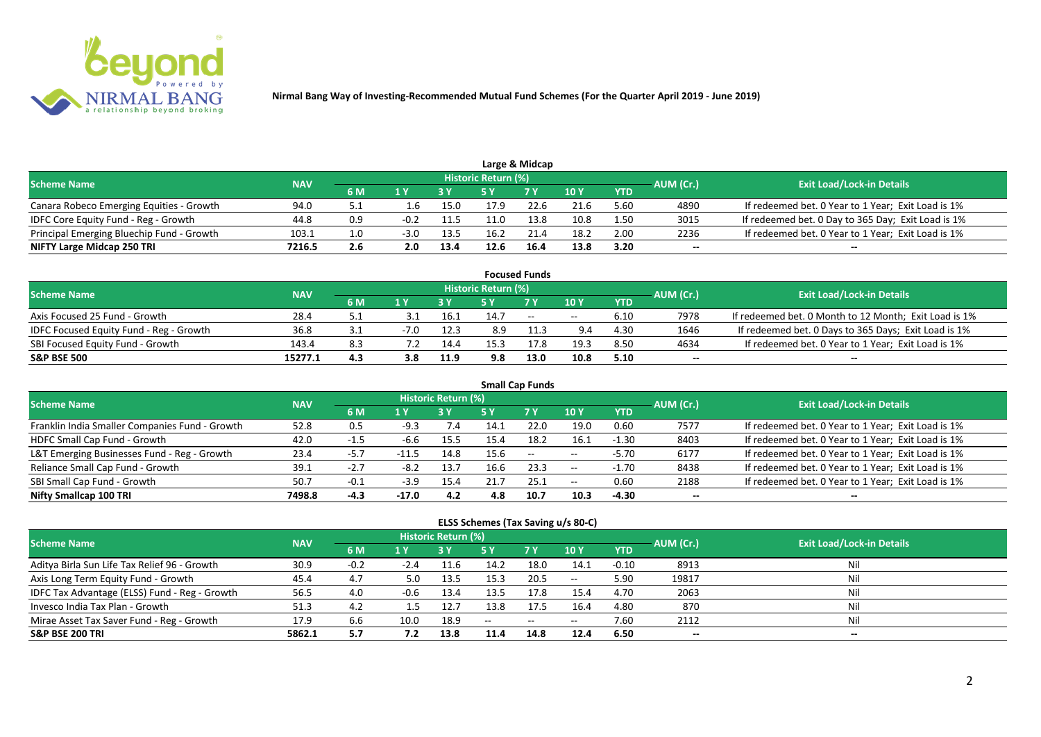

|                                           |            |     |        |      |                            | Large & Midcap |      |            |           |                                                    |
|-------------------------------------------|------------|-----|--------|------|----------------------------|----------------|------|------------|-----------|----------------------------------------------------|
| <b>Scheme Name</b>                        | <b>NAV</b> |     |        |      | <b>Historic Return (%)</b> |                |      |            | AUM (Cr.) | <b>Exit Load/Lock-in Details</b>                   |
|                                           |            | 6 M |        |      |                            | 7 Y            | 10 Y | <b>YTD</b> |           |                                                    |
| Canara Robeco Emerging Equities - Growth  | 94.0       |     | ⊥.b    | 15.0 | 17.9                       | 22.G           | 21.6 | 5.60       | 4890      | If redeemed bet. 0 Year to 1 Year; Exit Load is 1% |
| IDFC Core Equity Fund - Reg - Growth      | 44.8       | 0.9 |        | 11.5 | 11.0                       | 13.8           | 10.8 | 1.50       | 3015      | If redeemed bet. 0 Day to 365 Day; Exit Load is 1% |
| Principal Emerging Bluechip Fund - Growth | 103.1      | 1.0 | $-3.0$ | 13.5 | 16.2                       |                | 18.2 | 2.00       | 2236      | If redeemed bet. 0 Year to 1 Year; Exit Load is 1% |
| NIFTY Large Midcap 250 TRI                | 7216.5     | 2.6 | 2.0    | 13.4 | 12.6                       | 16.4           | 13.8 | 3.20       | --        | $- -$                                              |

|                                                |            |       |        |      |                     | <b>Focused Funds</b> |       |            |           |                                                       |
|------------------------------------------------|------------|-------|--------|------|---------------------|----------------------|-------|------------|-----------|-------------------------------------------------------|
| <b>Scheme Name</b>                             | <b>NAV</b> |       |        |      | Historic Return (%) |                      |       |            | AUM (Cr.) | <b>Exit Load/Lock-in Details</b>                      |
|                                                |            | 6 M   | 1 V    |      |                     | 7 Y                  | 10Y   | <b>YTD</b> |           |                                                       |
| Axis Focused 25 Fund - Growth                  | 28.4       |       |        | 16.1 | 14.7                | $ -$                 | $- -$ | 6.10       | 7978      | If redeemed bet. 0 Month to 12 Month; Exit Load is 1% |
| <b>IDFC Focused Equity Fund - Reg - Growth</b> | 36.8       | ـ . ـ | $-7.0$ | 12.3 | 8.9                 |                      | 9.4   | 4.30       | 1646      | If redeemed bet. 0 Days to 365 Days; Exit Load is 1%  |
| SBI Focused Equity Fund - Growth               | 143.4      | 8.3   |        | 14.4 | 15.3                |                      | 19.3  | 8.50       | 4634      | If redeemed bet. 0 Year to 1 Year; Exit Load is 1%    |
| <b>S&amp;P BSE 500</b>                         | 15277.1    | 4.3   | 3.8    | 11.9 | 9.8                 | 13.0                 | 10.8  | 5.10       | --        | --                                                    |

| <b>Small Cap Funds</b>                         |            |        |         |                     |      |                          |            |            |           |                                                    |  |  |  |
|------------------------------------------------|------------|--------|---------|---------------------|------|--------------------------|------------|------------|-----------|----------------------------------------------------|--|--|--|
| <b>Scheme Name</b>                             | <b>NAV</b> |        |         | Historic Return (%) |      |                          |            |            | AUM (Cr.) | <b>Exit Load/Lock-in Details</b>                   |  |  |  |
|                                                |            | 6 M    | 1 Y     |                     | 5 Y  | <b>7Y</b>                | <b>10Y</b> | <b>YTD</b> |           |                                                    |  |  |  |
| Franklin India Smaller Companies Fund - Growth | 52.8       | 0.5    | $-9.3$  | 7.4                 | 14.1 | 22.0                     | 19.0       | 0.60       | 7577      | If redeemed bet. 0 Year to 1 Year; Exit Load is 1% |  |  |  |
| HDFC Small Cap Fund - Growth                   | 42.0       | -1.5   | -6.6    | 15.5                | 15.4 | 18.2                     | 16.1       | $-1.30$    | 8403      | If redeemed bet. 0 Year to 1 Year; Exit Load is 1% |  |  |  |
| L&T Emerging Businesses Fund - Reg - Growth    | 23.4       | $-5.7$ |         | 14.8                | 15.6 | $\overline{\phantom{a}}$ | $- -$      | $-5.70$    | 6177      | If redeemed bet. 0 Year to 1 Year; Exit Load is 1% |  |  |  |
| Reliance Small Cap Fund - Growth               | 39.1       | $-2.7$ | $-8.2$  | 13.7                | 16.6 | 23.3                     | $- -$      | $-1.70$    | 8438      | If redeemed bet. 0 Year to 1 Year; Exit Load is 1% |  |  |  |
| SBI Small Cap Fund - Growth                    | 50.7       | $-0.1$ | $-3.9$  | 15.4                |      | 25.1                     | $- -$      | 0.60       | 2188      | If redeemed bet. 0 Year to 1 Year; Exit Load is 1% |  |  |  |
| Nifty Smallcap 100 TRI                         | 7498.8     | $-4.3$ | $-17.0$ | 4.2                 | 4.8  | 10.7                     | 10.3       | $-4.30$    | --        |                                                    |  |  |  |

#### **ELSS Schemes (Tax Saving u/s 80-C)**

| Scheme Name                                   | <b>NAV</b> |        |        | Historic Return (%) |        |                                                |                          | AUM (Cr.)  | <b>Exit Load/Lock-in Details</b> |       |
|-----------------------------------------------|------------|--------|--------|---------------------|--------|------------------------------------------------|--------------------------|------------|----------------------------------|-------|
|                                               |            | 6 M    |        |                     |        | 7 <sub>Y</sub>                                 | 10 Y                     | <b>YTD</b> |                                  |       |
| Aditya Birla Sun Life Tax Relief 96 - Growth  | 30.9       | $-0.2$ | $-2.4$ | 11.6                | 14.2   | 18.0                                           | 14.1                     | $-0.10$    | 8913                             | Nil   |
| Axis Long Term Equity Fund - Growth           | 45.4       | 4.7    | 5.0    | 13.5                | 15.3   | 20.5                                           | $- -$                    | 5.90       | 19817                            | Nil   |
| IDFC Tax Advantage (ELSS) Fund - Reg - Growth | 56.5       | 4.0    | $-0.6$ | 13.4                | 13.5   | 17.8                                           | 15.4                     | 4.70       | 2063                             | Nil   |
| Invesco India Tax Plan - Growth               | 51.3       | 4.2    |        | 12.7                | 13.8   | 17.5                                           | 16.4                     | 4.80       | 870                              | Nil   |
| Mirae Asset Tax Saver Fund - Reg - Growth     | 17.9       | 6.6    | 10.0   | 18.9                | $\sim$ | $\hspace{0.1mm}-\hspace{0.1mm}-\hspace{0.1mm}$ | $\overline{\phantom{m}}$ | 7.60       | 2112                             | Nil   |
| <b>S&amp;P BSE 200 TRI</b>                    | 5862.1     | 5.7    | 7.2    | 13.8                | 11.4   | 14.8                                           | 12.4                     | 6.50       | $-$                              | $- -$ |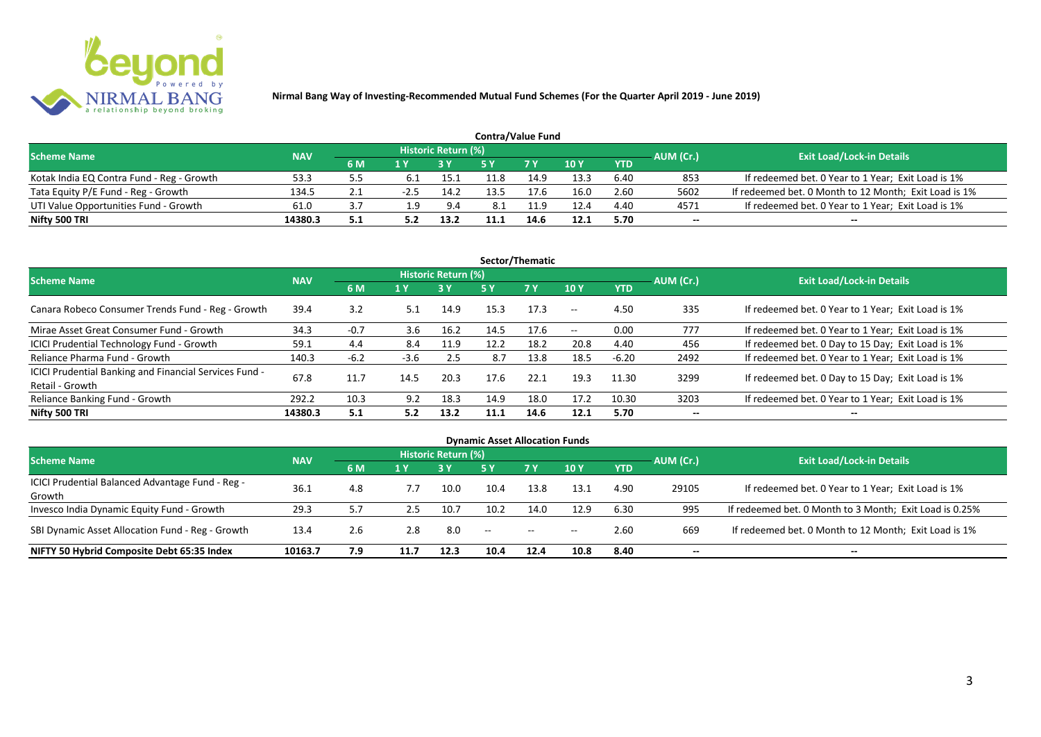

| <b>Contra/Value Fund</b>                  |            |     |     |                     |      |            |      |            |           |                                                       |  |  |  |
|-------------------------------------------|------------|-----|-----|---------------------|------|------------|------|------------|-----------|-------------------------------------------------------|--|--|--|
| <b>Scheme Name</b>                        | <b>NAV</b> |     |     | Historic Return (%) |      |            |      |            | AUM (Cr.) | <b>Exit Load/Lock-in Details</b>                      |  |  |  |
|                                           |            | 6 M |     |                     |      | <b>7 Y</b> | 10Y  | <b>YTD</b> |           |                                                       |  |  |  |
| Kotak India EQ Contra Fund - Reg - Growth | 53.:       |     |     | 15.1                |      | 14.9       | 13.3 | 6.40       | 853       | If redeemed bet. 0 Year to 1 Year; Exit Load is 1%    |  |  |  |
| Tata Equity P/E Fund - Reg - Growth       | 134.5      | 2.1 |     | 14.2                |      | 7.6        | 16.0 | 2.60       | 5602      | If redeemed bet. 0 Month to 12 Month; Exit Load is 1% |  |  |  |
| UTI Value Opportunities Fund - Growth     | 61.0       |     | 9.ء | 9.4                 | 8.1  | 11.9       | 12.4 | 4.40       | 4571      | If redeemed bet. 0 Year to 1 Year; Exit Load is 1%    |  |  |  |
| Nifty 500 TRI                             | 14380.3    | 5.1 |     | 13.2                | 11.1 | 14.6       | 12.1 | 5.70       | --        | $- -$                                                 |  |  |  |

| Sector/Thematic                                                           |            |                                       |        |                            |            |      |               |         |           |                                                    |  |  |
|---------------------------------------------------------------------------|------------|---------------------------------------|--------|----------------------------|------------|------|---------------|---------|-----------|----------------------------------------------------|--|--|
| <b>Scheme Name</b>                                                        | <b>NAV</b> |                                       |        | <b>Historic Return (%)</b> |            |      |               |         | AUM (Cr.) | <b>Exit Load/Lock-in Details</b>                   |  |  |
|                                                                           |            | <b>7Y</b><br>6 M<br>5 Y<br>1 Y<br>3 Y |        | <b>10Y</b>                 | <b>YTD</b> |      |               |         |           |                                                    |  |  |
| Canara Robeco Consumer Trends Fund - Reg - Growth                         | 39.4       | 3.2                                   | 5.1    | 14.9                       | 15.3       | 17.3 | $\sim$ $-$    | 4.50    | 335       | If redeemed bet. 0 Year to 1 Year; Exit Load is 1% |  |  |
| Mirae Asset Great Consumer Fund - Growth                                  | 34.3       | $-0.7$                                | 3.6    | 16.2                       | 14.5       | 17.6 | $\sim$ $\sim$ | 0.00    | 777       | If redeemed bet. 0 Year to 1 Year; Exit Load is 1% |  |  |
| <b>ICICI Prudential Technology Fund - Growth</b>                          | 59.1       | 4.4                                   | 8.4    | 11.9                       | 12.2       | 18.2 | 20.8          | 4.40    | 456       | If redeemed bet. 0 Day to 15 Day; Exit Load is 1%  |  |  |
| Reliance Pharma Fund - Growth                                             | 140.3      | $-6.2$                                | $-3.6$ | 2.5                        | 8.7        | 13.8 | 18.5          | $-6.20$ | 2492      | If redeemed bet. 0 Year to 1 Year; Exit Load is 1% |  |  |
| ICICI Prudential Banking and Financial Services Fund -<br>Retail - Growth | 67.8       | 11.7                                  | 14.5   | 20.3                       | 17.6       | 22.1 | 19.3          | 11.30   | 3299      | If redeemed bet. 0 Day to 15 Day; Exit Load is 1%  |  |  |
| Reliance Banking Fund - Growth                                            | 292.2      | 10.3                                  | 9.2    | 18.3                       | 14.9       | 18.0 | 17.2          | 10.30   | 3203      | If redeemed bet. 0 Year to 1 Year; Exit Load is 1% |  |  |
| Nifty 500 TRI                                                             | 14380.3    | 5.1                                   | 5.2    | 13.2                       | 11.1       | 14.6 | 12.1          | 5.70    | $- -$     | $\overline{\phantom{a}}$                           |  |  |

| <b>Dynamic Asset Allocation Funds</b>            |            |     |      |                            |                          |           |                          |            |           |                                                         |  |  |  |
|--------------------------------------------------|------------|-----|------|----------------------------|--------------------------|-----------|--------------------------|------------|-----------|---------------------------------------------------------|--|--|--|
| <b>Scheme Name</b>                               | <b>NAV</b> |     |      | <b>Historic Return (%)</b> |                          |           |                          |            |           |                                                         |  |  |  |
|                                                  |            | 6 M | 1 Y  |                            | <b>5 Y</b>               | <b>7Y</b> | <b>10Y</b>               | <b>YTD</b> | AUM (Cr.) | <b>Exit Load/Lock-in Details</b>                        |  |  |  |
| ICICI Prudential Balanced Advantage Fund - Reg - | 36.1       |     | 7.7  |                            | 10.4                     | 13.8      |                          | 4.90       | 29105     | If redeemed bet. 0 Year to 1 Year; Exit Load is 1%      |  |  |  |
| Growth                                           |            | 4.8 |      | 10.0                       |                          |           | 13.1                     |            |           |                                                         |  |  |  |
| Invesco India Dynamic Equity Fund - Growth       | 29.3       | 5.7 | 2.5  | 10.7                       | 10.2                     | 14.0      | 12.9                     | 6.30       | 995       | If redeemed bet. 0 Month to 3 Month; Exit Load is 0.25% |  |  |  |
| SBI Dynamic Asset Allocation Fund - Reg - Growth | 13.4       | 2.6 | 2.8  | 8.0                        | $\overline{\phantom{a}}$ | $\sim$    | $\overline{\phantom{a}}$ | 2.60       | 669       | If redeemed bet. 0 Month to 12 Month; Exit Load is 1%   |  |  |  |
| NIFTY 50 Hybrid Composite Debt 65:35 Index       | 10163.7    | 7.9 | 11.7 | 12.3                       | 10.4                     | 12.4      | 10.8                     | 8.40       | --        | --                                                      |  |  |  |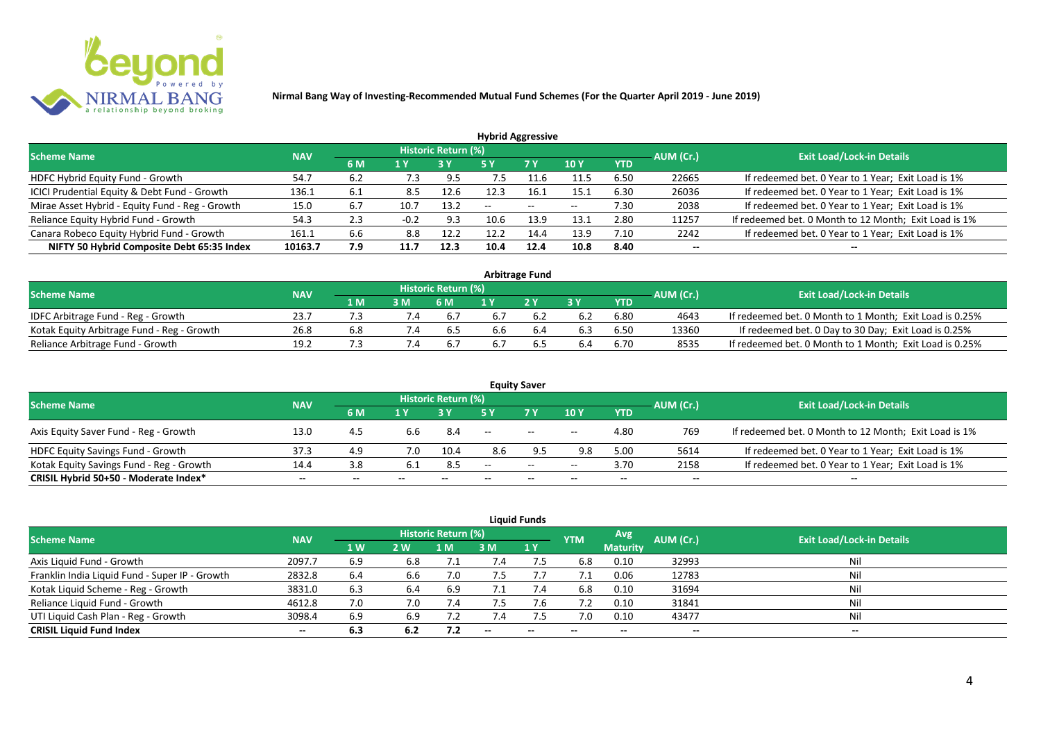

| <b>Hybrid Aggressive</b>                        |            |     |        |                     |       |        |            |            |           |                                                       |  |  |  |
|-------------------------------------------------|------------|-----|--------|---------------------|-------|--------|------------|------------|-----------|-------------------------------------------------------|--|--|--|
| <b>Scheme Name</b>                              | <b>NAV</b> |     |        | Historic Return (%) |       |        |            |            | AUM (Cr.) | <b>Exit Load/Lock-in Details</b>                      |  |  |  |
|                                                 |            | 6 M | 1 Y    |                     | 5 Y   | 7 Y    | <b>10Y</b> | <b>YTD</b> |           |                                                       |  |  |  |
| HDFC Hybrid Equity Fund - Growth                | 54.7       | 6.2 | 7.3    | 9.5                 | כ.    | $-1.6$ | 11.5       | 6.50       | 22665     | If redeemed bet. 0 Year to 1 Year; Exit Load is 1%    |  |  |  |
| ICICI Prudential Equity & Debt Fund - Growth    | 136.1      | 6.1 | 8.5    | 12.6                |       | 16.1   | 15.1       | 6.30       | 26036     | If redeemed bet. 0 Year to 1 Year; Exit Load is 1%    |  |  |  |
| Mirae Asset Hybrid - Equity Fund - Reg - Growth | 15.0       | 6.7 | 10.7   | 13.2                | $- -$ | $\sim$ | $- -$      | 7.30       | 2038      | If redeemed bet. 0 Year to 1 Year; Exit Load is 1%    |  |  |  |
| Reliance Equity Hybrid Fund - Growth            | 54.3       | 2.3 | $-0.2$ | 9.3                 | 10.6  | 13.9   | 13.1       | 2.80       | 11257     | If redeemed bet. 0 Month to 12 Month; Exit Load is 1% |  |  |  |
| Canara Robeco Equity Hybrid Fund - Growth       | 161.1      | 6.6 | 8.8    | 12.2                | 12.2  | 14.4   | 13.9       | 7.10       | 2242      | If redeemed bet. 0 Year to 1 Year; Exit Load is 1%    |  |  |  |
| NIFTY 50 Hybrid Composite Debt 65:35 Index      | 10163.7    | 7.9 | 11.7   | 12.3                | 10.4  | 12.4   | 10.8       | 8.40       | --        |                                                       |  |  |  |
|                                                 |            |     |        |                     |       |        |            |            |           |                                                       |  |  |  |

| <b>Arbitrage Fund</b>                      |            |     |     |                            |     |     |     |            |           |                                                         |  |  |  |
|--------------------------------------------|------------|-----|-----|----------------------------|-----|-----|-----|------------|-----------|---------------------------------------------------------|--|--|--|
| <b>Scheme Name</b>                         | <b>NAV</b> |     |     | <b>Historic Return (%)</b> |     |     |     |            | AUM (Cr.) | <b>Exit Load/Lock-in Details</b>                        |  |  |  |
|                                            |            | 1 M | 3 M | 6 M                        |     | 2V  |     | <b>YTD</b> |           |                                                         |  |  |  |
| IDFC Arbitrage Fund - Reg - Growth         | 23.7       |     |     |                            |     |     | 6.2 | 6.80       | 4643      | If redeemed bet. 0 Month to 1 Month; Exit Load is 0.25% |  |  |  |
| Kotak Equity Arbitrage Fund - Reg - Growth | 26.8       | 6.8 | 1.4 | 6.5                        | b.b | 6.4 | 6.3 | 6.50       | 13360     | If redeemed bet. 0 Day to 30 Day; Exit Load is 0.25%    |  |  |  |
| Reliance Arbitrage Fund - Growth           | 19.2       |     |     |                            |     |     | 6.4 | 6.70       | 8535      | If redeemed bet. 0 Month to 1 Month; Exit Load is 0.25% |  |  |  |

|                                          |            |       |       |                            |                   | <b>Equity Saver</b> |                          |            |                          |                                                       |
|------------------------------------------|------------|-------|-------|----------------------------|-------------------|---------------------|--------------------------|------------|--------------------------|-------------------------------------------------------|
| <b>Scheme Name</b>                       | <b>NAV</b> |       |       | <b>Historic Return (%)</b> |                   |                     |                          |            | AUM (Cr.)                | <b>Exit Load/Lock-in Details</b>                      |
|                                          |            | 6 M   |       |                            |                   | <b>7Y</b>           | <b>10Y</b>               | <b>YTD</b> |                          |                                                       |
| Axis Equity Saver Fund - Reg - Growth    | 13.0       | 4.5   | 6.b   | 8.4                        | $\hspace{0.05cm}$ | $\sim$              | $\overline{\phantom{a}}$ | 4.80       | 769                      | If redeemed bet. 0 Month to 12 Month; Exit Load is 1% |
| HDFC Equity Savings Fund - Growth        | 37.3       | 4.9   | 7.0   | 10.4                       | 8.6               |                     | 9.8                      | 5.00       | 5614                     | If redeemed bet. 0 Year to 1 Year; Exit Load is 1%    |
| Kotak Equity Savings Fund - Reg - Growth | 14.4       | 3.8   | -6.1  | 8.5                        | --                | $  \,$              | $- -$                    | 3.70       | 2158                     | If redeemed bet. 0 Year to 1 Year; Exit Load is 1%    |
| CRISIL Hybrid 50+50 - Moderate Index*    | $- -$      | $- -$ | $- -$ | $- -$                      |                   | $- -$               | $\overline{\phantom{a}}$ | $- -$      | $\overline{\phantom{a}}$ | $- -$                                                 |

| <b>Liquid Funds</b>                            |            |           |     |                            |             |           |            |                 |           |                                  |  |  |  |
|------------------------------------------------|------------|-----------|-----|----------------------------|-------------|-----------|------------|-----------------|-----------|----------------------------------|--|--|--|
| <b>Scheme Name</b>                             | <b>NAV</b> |           |     | <b>Historic Return (%)</b> |             |           | <b>YTM</b> | Avg             | AUM (Cr.) | <b>Exit Load/Lock-in Details</b> |  |  |  |
|                                                |            | <b>1W</b> | 2W  | 1 M                        | 3 M         | <b>1Y</b> |            | <b>Maturity</b> |           |                                  |  |  |  |
| Axis Liquid Fund - Growth                      | 2097.7     | 6.9       | 6.8 |                            | $\sqrt{.4}$ | 7.5       | 6.8        | 0.10            | 32993     | Nil                              |  |  |  |
| Franklin India Liquid Fund - Super IP - Growth | 2832.8     | 6.4       | 6.6 | 7.0                        | 7.5         |           |            | 0.06            | 12783     | Nil                              |  |  |  |
| Kotak Liquid Scheme - Reg - Growth             | 3831.0     | 6.3       | 6.4 | 6.9                        |             | 7.4       | 6.8        | 0.10            | 31694     | Nil                              |  |  |  |
| Reliance Liquid Fund - Growth                  | 4612.8     | 7.0       | 7.0 | 7.4                        | 7.5         | 7.6       |            | 0.10            | 31841     | Nil                              |  |  |  |
| UTI Liquid Cash Plan - Reg - Growth            | 3098.4     | 6.9       | 6.9 | 7.2                        | 7.4         |           | 7.0        | 0.10            | 43477     | Nil                              |  |  |  |
| <b>CRISIL Liquid Fund Index</b>                | $- -$      | 6.3       | 6.2 | 7.2                        | $\sim$      | $-$       | $- -$      | $- -$           | $- -$     | $\sim$                           |  |  |  |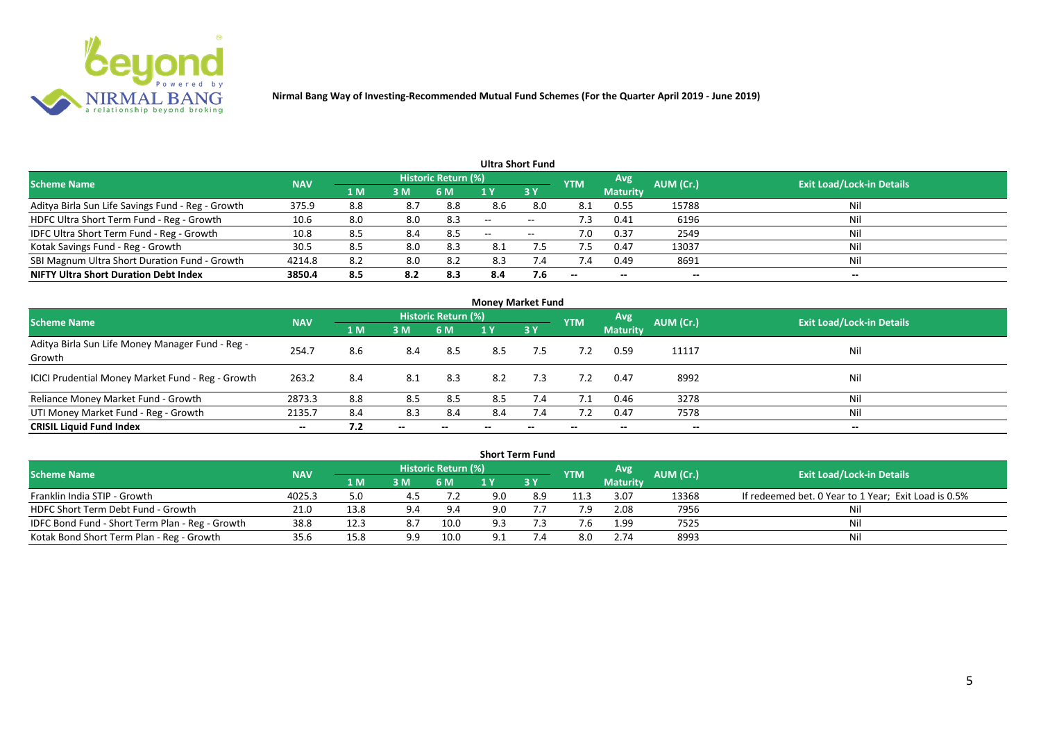

| Ultra Short Fund                                  |            |     |     |                            |     |                   |                          |                 |           |                                  |  |  |  |
|---------------------------------------------------|------------|-----|-----|----------------------------|-----|-------------------|--------------------------|-----------------|-----------|----------------------------------|--|--|--|
| <b>Scheme Name</b>                                | <b>NAV</b> |     |     | <b>Historic Return (%)</b> |     |                   | <b>YTM</b>               | Avg             | AUM (Cr.) | <b>Exit Load/Lock-in Details</b> |  |  |  |
|                                                   |            | 1 M | 3M  | 6 M                        |     | 3Y                |                          | <b>Maturity</b> |           |                                  |  |  |  |
| Aditya Birla Sun Life Savings Fund - Reg - Growth | 375.9      | 8.8 | 8.7 | 8.8                        | 8.6 | 8.0               | 8.1                      | 0.55            | 15788     | Nil                              |  |  |  |
| HDFC Ultra Short Term Fund - Reg - Growth         | 10.6       | 8.0 | 8.0 | 8.3                        | $-$ | $- -$             | د. ا                     | 0.41            | 6196      | Nil                              |  |  |  |
| IDFC Ultra Short Term Fund - Reg - Growth         | 10.8       | 8.5 | 8.4 | 8.5                        | $-$ | $\hspace{0.05cm}$ | 7.0                      | 0.37            | 2549      | Nil                              |  |  |  |
| Kotak Savings Fund - Reg - Growth                 | 30.5       | 8.5 | 8.0 | 8.3                        | 8.1 |                   |                          | 0.47            | 13037     | Nil                              |  |  |  |
| SBI Magnum Ultra Short Duration Fund - Growth     | 4214.8     | 8.2 | 8.0 | 8.2                        | 8.3 | 7.4               | 7.4                      | 0.49            | 8691      | Nil                              |  |  |  |
| <b>NIFTY Ultra Short Duration Debt Index</b>      | 3850.4     | 8.5 | 8.2 | 8.3                        | 8.4 | 7.6               | $\overline{\phantom{a}}$ | $- -$           | --        | $- -$                            |  |  |  |

| <b>Money Market Fund</b>                                   |            |                |       |                     |     |           |            |                 |           |                                  |  |  |  |
|------------------------------------------------------------|------------|----------------|-------|---------------------|-----|-----------|------------|-----------------|-----------|----------------------------------|--|--|--|
| <b>Scheme Name</b>                                         | <b>NAV</b> |                |       | Historic Return (%) |     |           | <b>YTM</b> | Avg             | AUM (Cr.) | <b>Exit Load/Lock-in Details</b> |  |  |  |
|                                                            |            | 1 <sub>M</sub> | 3 M   | 6 M                 | 1 Y | <b>3Y</b> |            | <b>Maturity</b> |           |                                  |  |  |  |
| Aditya Birla Sun Life Money Manager Fund - Reg -<br>Growth | 254.7      | 8.6            | 8.4   | 8.5                 | 8.5 | 7.5       | 7.2        | 0.59            | 11117     | Nil                              |  |  |  |
| ICICI Prudential Money Market Fund - Reg - Growth          | 263.2      | 8.4            | 8.1   | 8.3                 | 8.2 | 7.3       | 7.2        | 0.47            | 8992      | Nil                              |  |  |  |
| Reliance Money Market Fund - Growth                        | 2873.3     | 8.8            | 8.5   | 8.5                 | 8.5 | 7.4       | 7.1        | 0.46            | 3278      | Nil                              |  |  |  |
| UTI Money Market Fund - Reg - Growth                       | 2135.7     | 8.4            | 8.3   | 8.4                 | 8.4 | 7.4       |            | 0.47            | 7578      | Nil                              |  |  |  |
| <b>CRISIL Liquid Fund Index</b>                            | $- -$      | 7.2            | $- -$ |                     |     |           | --         | $- -$           | $- -$     | $- -$                            |  |  |  |

|                                                 |            |                                     |     |                            |     | <b>Short Term Fund</b> |            |                 |           |                                                      |
|-------------------------------------------------|------------|-------------------------------------|-----|----------------------------|-----|------------------------|------------|-----------------|-----------|------------------------------------------------------|
| <b>Scheme Name</b>                              | <b>NAV</b> |                                     |     | <b>Historic Return (%)</b> |     |                        | <b>YTM</b> | <b>Avg</b>      | AUM (Cr.) | <b>Exit Load/Lock-in Details</b>                     |
|                                                 |            | $\blacktriangle$ M $\blacktriangle$ | 3M  | 6 M                        |     | 73 Y                   |            | <b>Maturity</b> |           |                                                      |
| Franklin India STIP - Growth                    | 4025.3     | 5.0                                 |     |                            | 9.0 | 8.9                    | 11.3       | 3.07            | 13368     | If redeemed bet. 0 Year to 1 Year; Exit Load is 0.5% |
| HDFC Short Term Debt Fund - Growth              | 21.0       | 13.8                                | 9.4 | 9.4                        | 9.0 |                        | 7.9        | 2.08            | 7956      |                                                      |
| IDFC Bond Fund - Short Term Plan - Reg - Growth | 38.8       | 12.3                                | 8.7 | 10.0                       | 9.3 |                        |            | 1.99            | 7525      | Nil                                                  |
| Kotak Bond Short Term Plan - Reg - Growth       | 35.6       | 15.8                                | 9.9 | 10.0                       |     |                        | 8.0        | 2.74            | 8993      | Nil                                                  |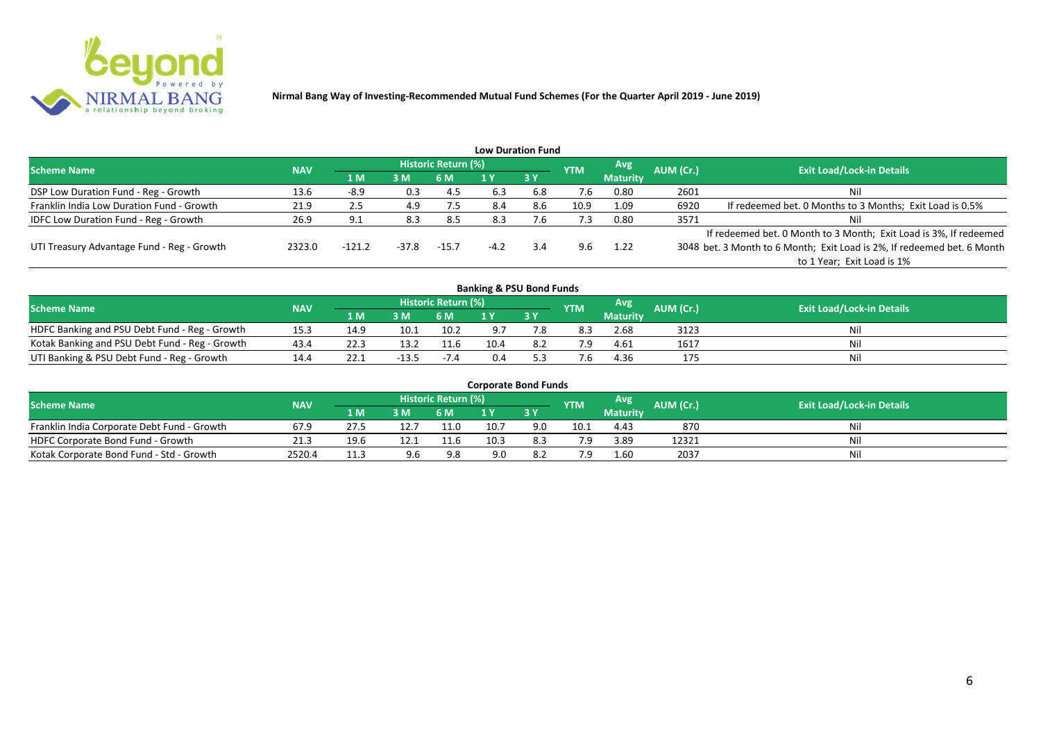

|                                              |            |          |         |                     |        | <b>Low Duration Fund</b> |            |                 |           |                                                                         |
|----------------------------------------------|------------|----------|---------|---------------------|--------|--------------------------|------------|-----------------|-----------|-------------------------------------------------------------------------|
| <b>Scheme Name</b>                           | <b>NAV</b> |          |         | Historic Return (%) |        |                          | <b>YTM</b> | Avg             | AUM (Cr.) | <b>Exit Load/Lock-in Details</b>                                        |
|                                              |            | 1 M      | 3M      | 6 M                 |        | 3Y                       |            | <b>Maturity</b> |           |                                                                         |
| DSP Low Duration Fund - Reg - Growth         | 13.6       | $-8.9$   | 0.3     | -4.5                | 6.3    | 6.8                      | 7.6        | 0.80            | 2601      | Nil                                                                     |
| Franklin India Low Duration Fund - Growth    | 21.9       | 2.5      | 4.9     | 7.5                 | 8.4    | 8.6                      | 10.9       | 1.09            | 6920      | If redeemed bet. 0 Months to 3 Months; Exit Load is 0.5%                |
| <b>IDFC Low Duration Fund - Reg - Growth</b> | 26.9       |          | 8.3     | 8.5                 | 8.3    | ∴6                       | 7.3        | 0.80            | 3571      | Nil                                                                     |
|                                              |            |          |         |                     |        |                          |            |                 |           | If redeemed bet. 0 Month to 3 Month; Exit Load is 3%, If redeemed       |
| UTI Treasury Advantage Fund - Reg - Growth   | 2323.0     | $-121.2$ | $-37.8$ | $-15.7$             | $-4.2$ | 3.4                      | 9.6        | 1.22            |           | 3048 bet. 3 Month to 6 Month; Exit Load is 2%, If redeemed bet. 6 Month |
|                                              |            |          |         |                     |        |                          |            |                 |           | to 1 Year; Exit Load is 1%                                              |
|                                              |            |          |         |                     |        |                          |            |                 |           |                                                                         |

| <b>Banking &amp; PSU Bond Funds</b>            |            |      |         |                            |      |      |            |                 |           |                                  |  |  |  |
|------------------------------------------------|------------|------|---------|----------------------------|------|------|------------|-----------------|-----------|----------------------------------|--|--|--|
| <b>Scheme Name</b>                             | <b>NAV</b> |      |         | <b>Historic Return (%)</b> |      |      | <b>YTM</b> | Avg             | AUM (Cr.) | <b>Exit Load/Lock-in Details</b> |  |  |  |
|                                                |            | 1 M  | 3M      | 6 M                        |      | 73 Y |            | <b>Maturity</b> |           |                                  |  |  |  |
| HDFC Banking and PSU Debt Fund - Reg - Growth  | 15.3       | 14.9 | 10.1    | 10.2                       |      |      | 8.3        | 2.68            | 3123      | Nil                              |  |  |  |
| Kotak Banking and PSU Debt Fund - Reg - Growth | 43.4       | 22.3 | 13.2    | 11.6                       | 10.4 | 8.2  |            | 4.61            | 1617      | Nil                              |  |  |  |
| UTI Banking & PSU Debt Fund - Reg - Growth     | 14.4       | 22.1 | $-13.5$ | $-7.4$                     | 0.4  |      |            | 4.36            |           | Nil                              |  |  |  |

| <b>Corporate Bond Funds</b>                 |            |      |     |                            |      |     |            |                 |           |                                  |  |  |  |  |
|---------------------------------------------|------------|------|-----|----------------------------|------|-----|------------|-----------------|-----------|----------------------------------|--|--|--|--|
| <b>Scheme Name</b>                          | <b>NAV</b> |      |     | <b>Historic Return (%)</b> |      |     | <b>YTM</b> | Avg             | AUM (Cr.) | <b>Exit Load/Lock-in Details</b> |  |  |  |  |
|                                             |            | 1 M. | 3 M | 6 M                        |      | 3 Y |            | <b>Maturity</b> |           |                                  |  |  |  |  |
| Franklin India Corporate Debt Fund - Growth | 67.9       |      |     | 11.0                       | 10.7 | 9.0 | 10.1       | 4.43            | 870       | Nil                              |  |  |  |  |
| HDFC Corporate Bond Fund - Growth           | 21.3       | 19.6 |     | 11.6                       | 10.3 |     |            | 3.89            | 12321     | Nil                              |  |  |  |  |
| Kotak Corporate Bond Fund - Std - Growth    | 2520.4     | 11.3 | 9.6 | 9.8                        | 9.0  | 8.Z |            | 1.60            | 2037      | Nil                              |  |  |  |  |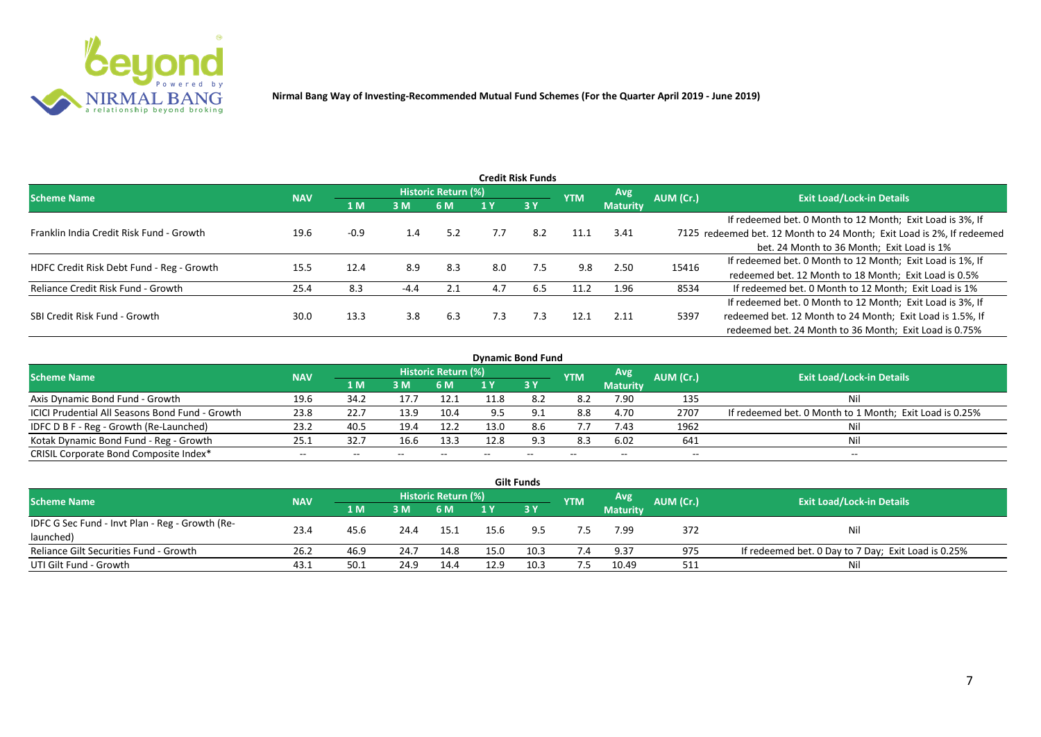

|                                           |            |        |        |                     |     | <b>Credit Risk Funds</b> |            |                 |           |                                                                       |
|-------------------------------------------|------------|--------|--------|---------------------|-----|--------------------------|------------|-----------------|-----------|-----------------------------------------------------------------------|
| <b>Scheme Name</b>                        | <b>NAV</b> |        |        | Historic Return (%) |     |                          | <b>YTM</b> | Avg.            | AUM (Cr.) | <b>Exit Load/Lock-in Details</b>                                      |
|                                           |            | 1 M    | 3M     | 6 M                 |     | 3 Y                      |            | <b>Maturity</b> |           |                                                                       |
|                                           |            |        |        |                     |     |                          |            |                 |           | If redeemed bet. 0 Month to 12 Month; Exit Load is 3%, If             |
| Franklin India Credit Risk Fund - Growth  | 19.6       | $-0.9$ | 1.4    | 5.2                 | 7.7 | 8.2                      | 11.1       | 3.41            |           | 7125 redeemed bet. 12 Month to 24 Month; Exit Load is 2%, If redeemed |
|                                           |            |        |        |                     |     |                          |            |                 |           | bet. 24 Month to 36 Month; Exit Load is 1%                            |
| HDFC Credit Risk Debt Fund - Reg - Growth | 15.5       | 12.4   | 8.9    | 8.3                 | 8.0 | 7.5                      | 9.8        | 2.50            | 15416     | If redeemed bet. 0 Month to 12 Month; Exit Load is 1%, If             |
|                                           |            |        |        |                     |     |                          |            |                 |           | redeemed bet. 12 Month to 18 Month; Exit Load is 0.5%                 |
| Reliance Credit Risk Fund - Growth        | 25.4       | 8.3    | $-4.4$ | 2.1                 | 4.7 | 6.5                      | 11.2       | 1.96            | 8534      | If redeemed bet. 0 Month to 12 Month; Exit Load is 1%                 |
|                                           |            |        |        |                     |     |                          |            |                 |           | If redeemed bet. 0 Month to 12 Month; Exit Load is 3%, If             |
| SBI Credit Risk Fund - Growth             | 30.0       | 13.3   | 3.8    | 6.3                 | 7.3 | 7.3                      | 12.1       | 2.11            | 5397      | redeemed bet. 12 Month to 24 Month; Exit Load is 1.5%, If             |
|                                           |            |        |        |                     |     |                          |            |                 |           | redeemed bet. 24 Month to 36 Month; Exit Load is 0.75%                |

| <b>Dynamic Bond Fund</b>                        |            |       |       |                          |      |           |            |                          |           |                                                         |  |  |  |  |
|-------------------------------------------------|------------|-------|-------|--------------------------|------|-----------|------------|--------------------------|-----------|---------------------------------------------------------|--|--|--|--|
| <b>Scheme Name</b>                              | <b>NAV</b> |       |       | Historic Return (%)      |      |           | <b>YTM</b> | Avg                      | AUM (Cr.) | <b>Exit Load/Lock-in Details</b>                        |  |  |  |  |
|                                                 |            | 1 M   | 3 M   | 6 M                      |      | <b>3Y</b> |            | <b>Maturity</b>          |           |                                                         |  |  |  |  |
| Axis Dynamic Bond Fund - Growth                 | 19.6       | 34.2  | 17.7  | 12.1                     | 11.8 |           | 8.2        | 7.90                     | 135       | Νi                                                      |  |  |  |  |
| ICICI Prudential All Seasons Bond Fund - Growth | 23.8       | 22.7  | 13.9  | 10.4                     |      |           | 8.8        | 4.70                     | 2707      | If redeemed bet. 0 Month to 1 Month; Exit Load is 0.25% |  |  |  |  |
| IDFC D B F - Reg - Growth (Re-Launched)         | 23.2       | 40.5  | 19.4  | 12.2                     | 13.0 | 8.6       | 7.7        | 7.43                     | 1962      |                                                         |  |  |  |  |
| Kotak Dynamic Bond Fund - Reg - Growth          | 25.3       | 32.7  | 16.6  | 13.3                     | 12.8 | 9.3       | 8.3        | 6.02                     | 641       | Νi                                                      |  |  |  |  |
| CRISIL Corporate Bond Composite Index*          | $- -$      | $- -$ | $- -$ | $\overline{\phantom{m}}$ |      | $- -$     |            | $\overline{\phantom{a}}$ | $- -$     | $-$                                                     |  |  |  |  |

|                                                 |            |      |      |                     |      | <b>Gilt Funds</b> |            |                 |           |                                                     |
|-------------------------------------------------|------------|------|------|---------------------|------|-------------------|------------|-----------------|-----------|-----------------------------------------------------|
| <b>Scheme Name</b>                              | <b>NAV</b> |      |      | Historic Return (%) |      |                   | <b>YTM</b> | <b>Avg</b>      | AUM (Cr.) | <b>Exit Load/Lock-in Details</b>                    |
|                                                 |            | 2 M. | 3M   | 6 M                 | 1 Y  | <b>3Y</b>         |            | <b>Maturity</b> |           |                                                     |
| IDFC G Sec Fund - Invt Plan - Reg - Growth (Re- | 23.4       | 45.6 | 24.4 |                     |      | 9.5               |            | 7.99            | 372       |                                                     |
| launched)                                       |            |      |      | 15.1                | 15.6 |                   |            |                 |           | Nil                                                 |
| Reliance Gilt Securities Fund - Growth          | 26.2       | 46.9 | 24.7 | 14.8                | 15.0 | 10.3              | 7.4        | 9.37            | 975       | If redeemed bet. 0 Day to 7 Day; Exit Load is 0.25% |
| UTI Gilt Fund - Growth                          | 43.1       | 50.1 | 24.9 | 14.4                | 12.9 | 10.3              | 7.5        | 10.49           | 511       | Nil                                                 |